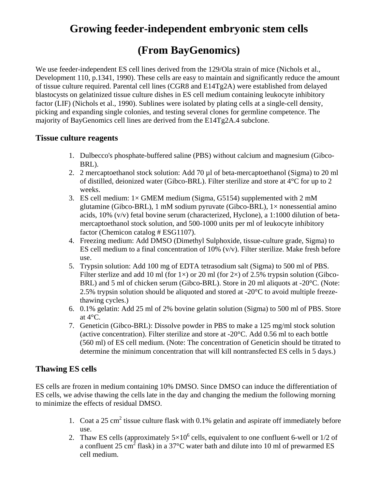# **Growing feeder-independent embryonic stem cells**

# **(From BayGenomics)**

We use feeder-independent ES cell lines derived from the 129/Ola strain of mice (Nichols et al., Development 110, p.1341, 1990). These cells are easy to maintain and significantly reduce the amount of tissue culture required. Parental cell lines (CGR8 and E14Tg2A) were established from delayed blastocysts on gelatinized tissue culture dishes in ES cell medium containing leukocyte inhibitory factor (LIF) (Nichols et al., 1990). Sublines were isolated by plating cells at a single-cell density, picking and expanding single colonies, and testing several clones for germline competence. The majority of BayGenomics cell lines are derived from the E14Tg2A.4 subclone.

### **Tissue culture reagents**

- 1. Dulbecco's phosphate-buffered saline (PBS) without calcium and magnesium (Gibco-BRL).
- 2. 2 mercaptoethanol stock solution: Add 70 µl of beta-mercaptoethanol (Sigma) to 20 ml of distilled, deionized water (Gibco-BRL). Filter sterilize and store at  $4^{\circ}$ C for up to 2 weeks.
- 3. ES cell medium:  $1 \times$  GMEM medium (Sigma, G5154) supplemented with 2 mM glutamine (Gibco-BRL), 1 mM sodium pyruvate (Gibco-BRL),  $1 \times$  nonessential amino acids, 10% (v/v) fetal bovine serum (characterized, Hyclone), a 1:1000 dilution of betamercaptoethanol stock solution, and 500-1000 units per ml of leukocyte inhibitory factor (Chemicon catalog # ESG1107).
- 4. Freezing medium: Add DMSO (Dimethyl Sulphoxide, tissue-culture grade, Sigma) to ES cell medium to a final concentration of  $10\%$  (v/v). Filter sterilize. Make fresh before use.
- 5. Trypsin solution: Add 100 mg of EDTA tetrasodium salt (Sigma) to 500 ml of PBS. Filter sterlize and add 10 ml (for 1 $\times$ ) or 20 ml (for 2 $\times$ ) of 2.5% trypsin solution (Gibco-BRL) and 5 ml of chicken serum (Gibco-BRL). Store in 20 ml aliquots at -20°C. (Note: 2.5% trypsin solution should be aliquoted and stored at -20°C to avoid multiple freezethawing cycles.)
- 6. 0.1% gelatin: Add 25 ml of 2% bovine gelatin solution (Sigma) to 500 ml of PBS. Store at 4°C.
- 7. Geneticin (Gibco-BRL): Dissolve powder in PBS to make a 125 mg/ml stock solution (active concentration). Filter sterilize and store at  $-20^{\circ}$ C. Add 0.56 ml to each bottle (560 ml) of ES cell medium. (Note: The concentration of Geneticin should be titrated to determine the minimum concentration that will kill nontransfected ES cells in 5 days.)

## **Thawing ES cells**

ES cells are frozen in medium containing 10% DMSO. Since DMSO can induce the differentiation of ES cells, we advise thawing the cells late in the day and changing the medium the following morning to minimize the effects of residual DMSO.

- 1. Coat a  $25 \text{ cm}^2$  tissue culture flask with 0.1% gelatin and aspirate off immediately before use.
- 2. Thaw ES cells (approximately  $5\times10^6$  cells, equivalent to one confluent 6-well or 1/2 of a confluent 25 cm<sup>2</sup> flask) in a 37°C water bath and dilute into 10 ml of prewarmed ES cell medium.